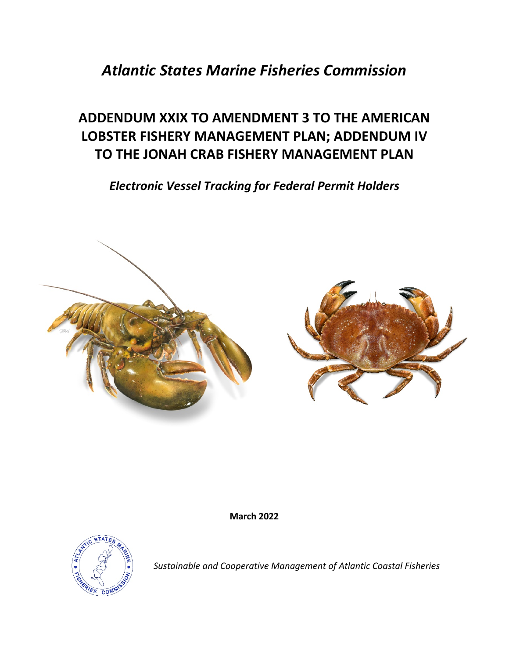# *Atlantic States Marine Fisheries Commission*

# **ADDENDUM XXIX TO AMENDMENT 3 TO THE AMERICAN LOBSTER FISHERY MANAGEMENT PLAN; ADDENDUM IV TO THE JONAH CRAB FISHERY MANAGEMENT PLAN**

*Electronic Vessel Tracking for Federal Permit Holders*



**March 2022**



*Sustainable and Cooperative Management of Atlantic Coastal Fisheries*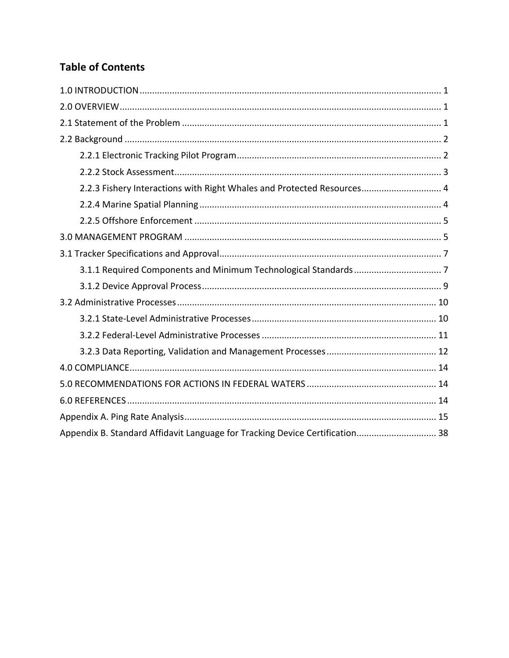# **Table of Contents**

| 2.2.3 Fishery Interactions with Right Whales and Protected Resources 4       |  |
|------------------------------------------------------------------------------|--|
|                                                                              |  |
|                                                                              |  |
|                                                                              |  |
|                                                                              |  |
|                                                                              |  |
|                                                                              |  |
|                                                                              |  |
|                                                                              |  |
|                                                                              |  |
|                                                                              |  |
|                                                                              |  |
|                                                                              |  |
|                                                                              |  |
|                                                                              |  |
| Appendix B. Standard Affidavit Language for Tracking Device Certification 38 |  |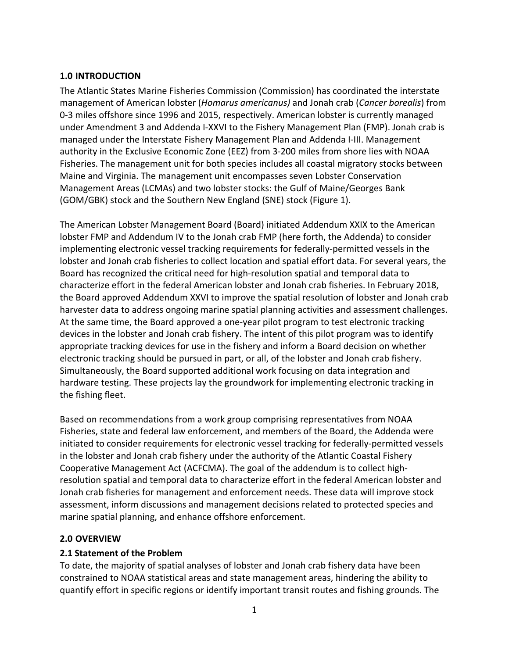# <span id="page-2-0"></span>**1.0 INTRODUCTION**

The Atlantic States Marine Fisheries Commission (Commission) has coordinated the interstate management of American lobster (*Homarus americanus)* and Jonah crab (*Cancer borealis*) from 0-3 miles offshore since 1996 and 2015, respectively. American lobster is currently managed under Amendment 3 and Addenda I-XXVI to the Fishery Management Plan (FMP). Jonah crab is managed under the Interstate Fishery Management Plan and Addenda I-III. Management authority in the Exclusive Economic Zone (EEZ) from 3-200 miles from shore lies with NOAA Fisheries. The management unit for both species includes all coastal migratory stocks between Maine and Virginia. The management unit encompasses seven Lobster Conservation Management Areas (LCMAs) and two lobster stocks: the Gulf of Maine/Georges Bank (GOM/GBK) stock and the Southern New England (SNE) stock (Figure 1).

The American Lobster Management Board (Board) initiated Addendum XXIX to the American lobster FMP and Addendum IV to the Jonah crab FMP (here forth, the Addenda) to consider implementing electronic vessel tracking requirements for federally-permitted vessels in the lobster and Jonah crab fisheries to collect location and spatial effort data. For several years, the Board has recognized the critical need for high-resolution spatial and temporal data to characterize effort in the federal American lobster and Jonah crab fisheries. In February 2018, the Board approved Addendum XXVI to improve the spatial resolution of lobster and Jonah crab harvester data to address ongoing marine spatial planning activities and assessment challenges. At the same time, the Board approved a one-year pilot program to test electronic tracking devices in the lobster and Jonah crab fishery. The intent of this pilot program was to identify appropriate tracking devices for use in the fishery and inform a Board decision on whether electronic tracking should be pursued in part, or all, of the lobster and Jonah crab fishery. Simultaneously, the Board supported additional work focusing on data integration and hardware testing. These projects lay the groundwork for implementing electronic tracking in the fishing fleet.

Based on recommendations from a work group comprising representatives from NOAA Fisheries, state and federal law enforcement, and members of the Board, the Addenda were initiated to consider requirements for electronic vessel tracking for federally-permitted vessels in the lobster and Jonah crab fishery under the authority of the Atlantic Coastal Fishery Cooperative Management Act (ACFCMA). The goal of the addendum is to collect highresolution spatial and temporal data to characterize effort in the federal American lobster and Jonah crab fisheries for management and enforcement needs. These data will improve stock assessment, inform discussions and management decisions related to protected species and marine spatial planning, and enhance offshore enforcement.

# <span id="page-2-1"></span>**2.0 OVERVIEW**

# <span id="page-2-2"></span>**2.1 Statement of the Problem**

To date, the majority of spatial analyses of lobster and Jonah crab fishery data have been constrained to NOAA statistical areas and state management areas, hindering the ability to quantify effort in specific regions or identify important transit routes and fishing grounds. The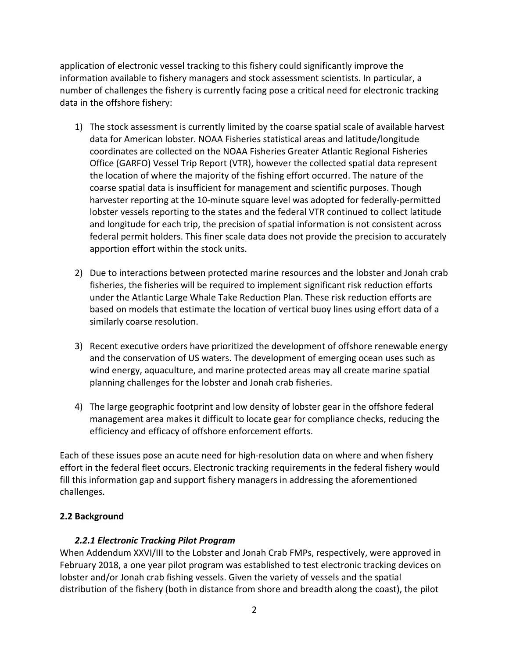application of electronic vessel tracking to this fishery could significantly improve the information available to fishery managers and stock assessment scientists. In particular, a number of challenges the fishery is currently facing pose a critical need for electronic tracking data in the offshore fishery:

- 1) The stock assessment is currently limited by the coarse spatial scale of available harvest data for American lobster. NOAA Fisheries statistical areas and latitude/longitude coordinates are collected on the NOAA Fisheries Greater Atlantic Regional Fisheries Office (GARFO) Vessel Trip Report (VTR), however the collected spatial data represent the location of where the majority of the fishing effort occurred. The nature of the coarse spatial data is insufficient for management and scientific purposes. Though harvester reporting at the 10-minute square level was adopted for federally-permitted lobster vessels reporting to the states and the federal VTR continued to collect latitude and longitude for each trip, the precision of spatial information is not consistent across federal permit holders. This finer scale data does not provide the precision to accurately apportion effort within the stock units.
- 2) Due to interactions between protected marine resources and the lobster and Jonah crab fisheries, the fisheries will be required to implement significant risk reduction efforts under the Atlantic Large Whale Take Reduction Plan. These risk reduction efforts are based on models that estimate the location of vertical buoy lines using effort data of a similarly coarse resolution.
- 3) Recent executive orders have prioritized the development of offshore renewable energy and the conservation of US waters. The development of emerging ocean uses such as wind energy, aquaculture, and marine protected areas may all create marine spatial planning challenges for the lobster and Jonah crab fisheries.
- 4) The large geographic footprint and low density of lobster gear in the offshore federal management area makes it difficult to locate gear for compliance checks, reducing the efficiency and efficacy of offshore enforcement efforts.

Each of these issues pose an acute need for high-resolution data on where and when fishery effort in the federal fleet occurs. Electronic tracking requirements in the federal fishery would fill this information gap and support fishery managers in addressing the aforementioned challenges.

# <span id="page-3-0"></span>**2.2 Background**

# *2.2.1 Electronic Tracking Pilot Program*

<span id="page-3-1"></span>When Addendum XXVI/III to the Lobster and Jonah Crab FMPs, respectively, were approved in February 2018, a one year pilot program was established to test electronic tracking devices on lobster and/or Jonah crab fishing vessels. Given the variety of vessels and the spatial distribution of the fishery (both in distance from shore and breadth along the coast), the pilot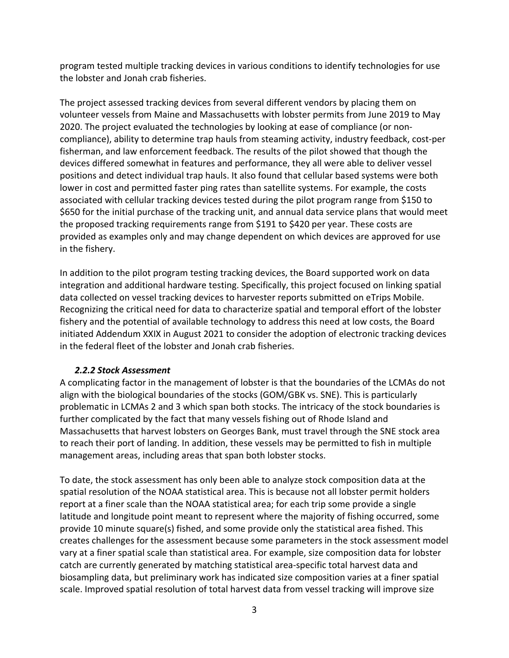program tested multiple tracking devices in various conditions to identify technologies for use the lobster and Jonah crab fisheries.

The project assessed tracking devices from several different vendors by placing them on volunteer vessels from Maine and Massachusetts with lobster permits from June 2019 to May 2020. The project evaluated the technologies by looking at ease of compliance (or noncompliance), ability to determine trap hauls from steaming activity, industry feedback, cost-per fisherman, and law enforcement feedback. The results of the pilot showed that though the devices differed somewhat in features and performance, they all were able to deliver vessel positions and detect individual trap hauls. It also found that cellular based systems were both lower in cost and permitted faster ping rates than satellite systems. For example, the costs associated with cellular tracking devices tested during the pilot program range from \$150 to \$650 for the initial purchase of the tracking unit, and annual data service plans that would meet the proposed tracking requirements range from \$191 to \$420 per year. These costs are provided as examples only and may change dependent on which devices are approved for use in the fishery.

In addition to the pilot program testing tracking devices, the Board supported work on data integration and additional hardware testing. Specifically, this project focused on linking spatial data collected on vessel tracking devices to harvester reports submitted on eTrips Mobile. Recognizing the critical need for data to characterize spatial and temporal effort of the lobster fishery and the potential of available technology to address this need at low costs, the Board initiated Addendum XXIX in August 2021 to consider the adoption of electronic tracking devices in the federal fleet of the lobster and Jonah crab fisheries.

# *2.2.2 Stock Assessment*

<span id="page-4-0"></span>A complicating factor in the management of lobster is that the boundaries of the LCMAs do not align with the biological boundaries of the stocks (GOM/GBK vs. SNE). This is particularly problematic in LCMAs 2 and 3 which span both stocks. The intricacy of the stock boundaries is further complicated by the fact that many vessels fishing out of Rhode Island and Massachusetts that harvest lobsters on Georges Bank, must travel through the SNE stock area to reach their port of landing. In addition, these vessels may be permitted to fish in multiple management areas, including areas that span both lobster stocks.

To date, the stock assessment has only been able to analyze stock composition data at the spatial resolution of the NOAA statistical area. This is because not all lobster permit holders report at a finer scale than the NOAA statistical area; for each trip some provide a single latitude and longitude point meant to represent where the majority of fishing occurred, some provide 10 minute square(s) fished, and some provide only the statistical area fished. This creates challenges for the assessment because some parameters in the stock assessment model vary at a finer spatial scale than statistical area. For example, size composition data for lobster catch are currently generated by matching statistical area-specific total harvest data and biosampling data, but preliminary work has indicated size composition varies at a finer spatial scale. Improved spatial resolution of total harvest data from vessel tracking will improve size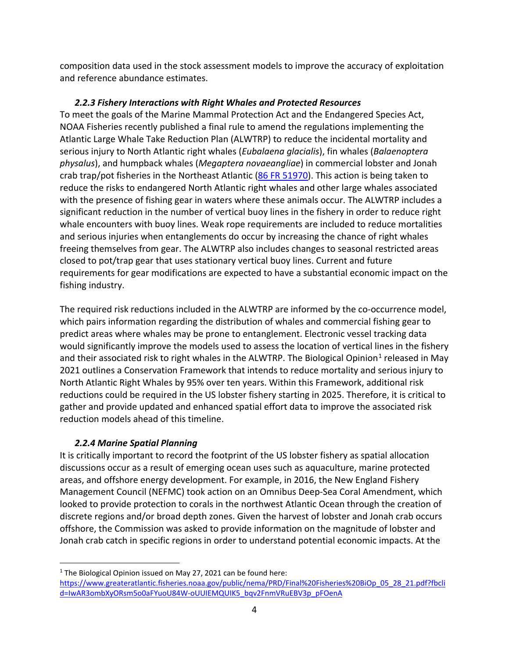composition data used in the stock assessment models to improve the accuracy of exploitation and reference abundance estimates.

# *2.2.3 Fishery Interactions with Right Whales and Protected Resources*

<span id="page-5-0"></span>To meet the goals of the Marine Mammal Protection Act and the Endangered Species Act, NOAA Fisheries recently published a final rule to amend the regulations implementing the Atlantic Large Whale Take Reduction Plan (ALWTRP) to reduce the incidental mortality and serious injury to North Atlantic right whales (*Eubalaena glacialis*), fin whales (*Balaenoptera physalus*), and humpback whales (*Megaptera novaeangliae*) in commercial lobster and Jonah crab trap/pot fisheries in the Northeast Atlantic [\(86 FR 51970\)](https://www.federalregister.gov/documents/2021/09/17/2021-19040/taking-of-marine-mammals-incidental-to-commercial-fishing-operations-atlantic-large-whale-take). This action is being taken to reduce the risks to endangered North Atlantic right whales and other large whales associated with the presence of fishing gear in waters where these animals occur. The ALWTRP includes a significant reduction in the number of vertical buoy lines in the fishery in order to reduce right whale encounters with buoy lines. Weak rope requirements are included to reduce mortalities and serious injuries when entanglements do occur by increasing the chance of right whales freeing themselves from gear. The ALWTRP also includes changes to seasonal restricted areas closed to pot/trap gear that uses stationary vertical buoy lines. Current and future requirements for gear modifications are expected to have a substantial economic impact on the fishing industry.

The required risk reductions included in the ALWTRP are informed by the co-occurrence model, which pairs information regarding the distribution of whales and commercial fishing gear to predict areas where whales may be prone to entanglement. Electronic vessel tracking data would significantly improve the models used to assess the location of vertical lines in the fishery and their associated risk to right whales in the ALWTRP. The Biological Opinion<sup>[1](#page-5-2)</sup> released in May 2021 outlines a Conservation Framework that intends to reduce mortality and serious injury to North Atlantic Right Whales by 95% over ten years. Within this Framework, additional risk reductions could be required in the US lobster fishery starting in 2025. Therefore, it is critical to gather and provide updated and enhanced spatial effort data to improve the associated risk reduction models ahead of this timeline.

# *2.2.4 Marine Spatial Planning*

<span id="page-5-1"></span>It is critically important to record the footprint of the US lobster fishery as spatial allocation discussions occur as a result of emerging ocean uses such as aquaculture, marine protected areas, and offshore energy development. For example, in 2016, the New England Fishery Management Council (NEFMC) took action on an Omnibus Deep-Sea Coral Amendment, which looked to provide protection to corals in the northwest Atlantic Ocean through the creation of discrete regions and/or broad depth zones. Given the harvest of lobster and Jonah crab occurs offshore, the Commission was asked to provide information on the magnitude of lobster and Jonah crab catch in specific regions in order to understand potential economic impacts. At the

<span id="page-5-2"></span> $1$  The Biological Opinion issued on May 27, 2021 can be found here: [https://www.greateratlantic.fisheries.noaa.gov/public/nema/PRD/Final%20Fisheries%20BiOp\\_05\\_28\\_21.pdf?fbcli](https://www.greateratlantic.fisheries.noaa.gov/public/nema/PRD/Final%20Fisheries%20BiOp_05_28_21.pdf?fbclid=IwAR3ombXyORsm5o0aFYuoU84W-oUUIEMQUIK5_bqv2FnmVRuEBV3p_pFOenA) [d=IwAR3ombXyORsm5o0aFYuoU84W-oUUIEMQUIK5\\_bqv2FnmVRuEBV3p\\_pFOenA](https://www.greateratlantic.fisheries.noaa.gov/public/nema/PRD/Final%20Fisheries%20BiOp_05_28_21.pdf?fbclid=IwAR3ombXyORsm5o0aFYuoU84W-oUUIEMQUIK5_bqv2FnmVRuEBV3p_pFOenA)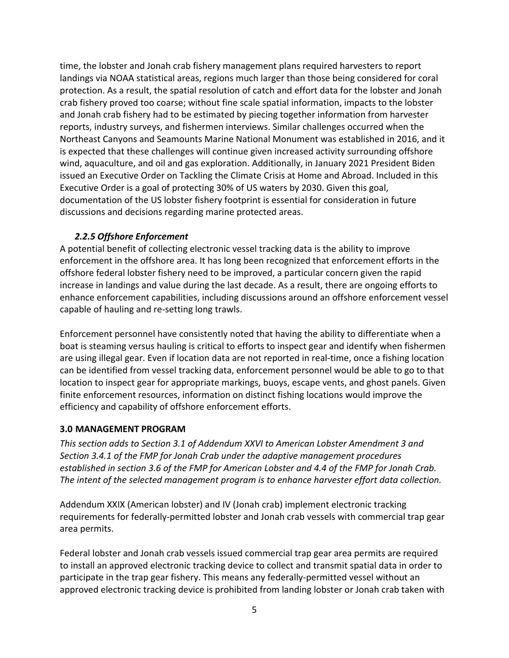time, the lobster and Jonah crab fishery management plans required harvesters to report landings via NOAA statistical areas, regions much larger than those being considered for coral protection. As a result, the spatial resolution of catch and effort data for the lobster and Jonah crab fishery proved too coarse; without fine scale spatial information, impacts to the lobster and Jonah crab fishery had to be estimated by piecing together information from harvester reports, industry surveys, and fishermen interviews. Similar challenges occurred when the Northeast Canyons and Seamounts Marine National Monument was established in 2016, and it is expected that these challenges will continue given increased activity surrounding offshore wind, aquaculture, and oil and gas exploration. Additionally, in January 2021 President Biden issued an Executive Order on Tackling the Climate Crisis at Home and Abroad. Included in this Executive Order is a goal of protecting 30% of US waters by 2030. Given this goal, documentation of the US lobster fishery footprint is essential for consideration in future discussions and decisions regarding marine protected areas.

#### *2.2.5 Offshore Enforcement*

<span id="page-6-0"></span>A potential benefit of collecting electronic vessel tracking data is the ability to improve enforcement in the offshore area. It has long been recognized that enforcement efforts in the offshore federal lobster fishery need to be improved, a particular concern given the rapid increase in landings and value during the last decade. As a result, there are ongoing efforts to enhance enforcement capabilities, including discussions around an offshore enforcement vessel capable of hauling and re-setting long trawls.

Enforcement personnel have consistently noted that having the ability to differentiate when a boat is steaming versus hauling is critical to efforts to inspect gear and identify when fishermen are using illegal gear. Even if location data are not reported in real-time, once a fishing location can be identified from vessel tracking data, enforcement personnel would be able to go to that location to inspect gear for appropriate markings, buoys, escape vents, and ghost panels. Given finite enforcement resources, information on distinct fishing locations would improve the efficiency and capability of offshore enforcement efforts.

# <span id="page-6-1"></span>**3.0 MANAGEMENT PROGRAM**

*This section adds to Section 3.1 of Addendum XXVI to American Lobster Amendment 3 and Section 3.4.1 of the FMP for Jonah Crab under the adaptive management procedures established in section 3.6 of the FMP for American Lobster and 4.4 of the FMP for Jonah Crab. The intent of the selected management program is to enhance harvester effort data collection.*

Addendum XXIX (American lobster) and IV (Jonah crab) implement electronic tracking requirements for federally-permitted lobster and Jonah crab vessels with commercial trap gear area permits.

Federal lobster and Jonah crab vessels issued commercial trap gear area permits are required to install an approved electronic tracking device to collect and transmit spatial data in order to participate in the trap gear fishery. This means any federally-permitted vessel without an approved electronic tracking device is prohibited from landing lobster or Jonah crab taken with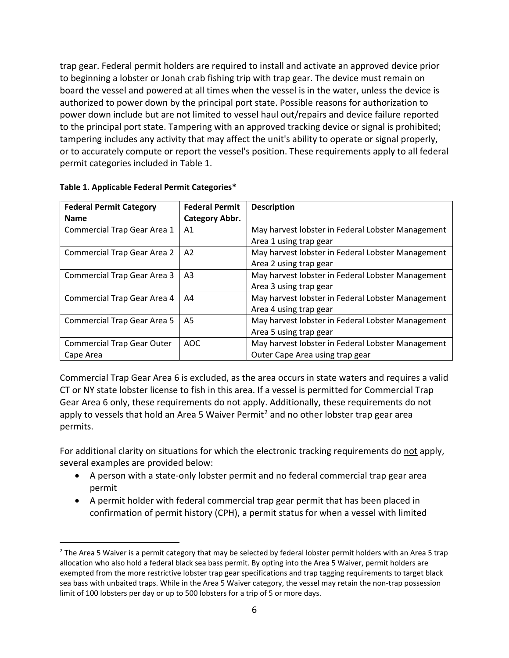trap gear. Federal permit holders are required to install and activate an approved device prior to beginning a lobster or Jonah crab fishing trip with trap gear. The device must remain on board the vessel and powered at all times when the vessel is in the water, unless the device is authorized to power down by the principal port state. Possible reasons for authorization to power down include but are not limited to vessel haul out/repairs and device failure reported to the principal port state. Tampering with an approved tracking device or signal is prohibited; tampering includes any activity that may affect the unit's ability to operate or signal properly, or to accurately compute or report the vessel's position. These requirements apply to all federal permit categories included in Table 1.

| <b>Federal Permit Category</b>     | <b>Federal Permit</b> | <b>Description</b>                                |
|------------------------------------|-----------------------|---------------------------------------------------|
| <b>Name</b>                        | Category Abbr.        |                                                   |
| Commercial Trap Gear Area 1        | A1                    | May harvest lobster in Federal Lobster Management |
|                                    |                       | Area 1 using trap gear                            |
| <b>Commercial Trap Gear Area 2</b> | A <sub>2</sub>        | May harvest lobster in Federal Lobster Management |
|                                    |                       | Area 2 using trap gear                            |
| <b>Commercial Trap Gear Area 3</b> | A <sub>3</sub>        | May harvest lobster in Federal Lobster Management |
|                                    |                       | Area 3 using trap gear                            |
| Commercial Trap Gear Area 4        | A4                    | May harvest lobster in Federal Lobster Management |
|                                    |                       | Area 4 using trap gear                            |
| <b>Commercial Trap Gear Area 5</b> | A5                    | May harvest lobster in Federal Lobster Management |
|                                    |                       | Area 5 using trap gear                            |
| <b>Commercial Trap Gear Outer</b>  | AOC                   | May harvest lobster in Federal Lobster Management |
| Cape Area                          |                       | Outer Cape Area using trap gear                   |

**Table 1. Applicable Federal Permit Categories\***

Commercial Trap Gear Area 6 is excluded, as the area occurs in state waters and requires a valid CT or NY state lobster license to fish in this area. If a vessel is permitted for Commercial Trap Gear Area 6 only, these requirements do not apply. Additionally, these requirements do not apply to vessels that hold an Area 5 Waiver Permit<sup>[2](#page-7-0)</sup> and no other lobster trap gear area permits.

For additional clarity on situations for which the electronic tracking requirements do not apply, several examples are provided below:

- A person with a state-only lobster permit and no federal commercial trap gear area permit
- A permit holder with federal commercial trap gear permit that has been placed in confirmation of permit history (CPH), a permit status for when a vessel with limited

<span id="page-7-0"></span> $2$  The Area 5 Waiver is a permit category that may be selected by federal lobster permit holders with an Area 5 trap allocation who also hold a federal black sea bass permit. By opting into the Area 5 Waiver, permit holders are exempted from the more restrictive lobster trap gear specifications and trap tagging requirements to target black sea bass with unbaited traps. While in the Area 5 Waiver category, the vessel may retain the non-trap possession limit of 100 lobsters per day or up to 500 lobsters for a trip of 5 or more days.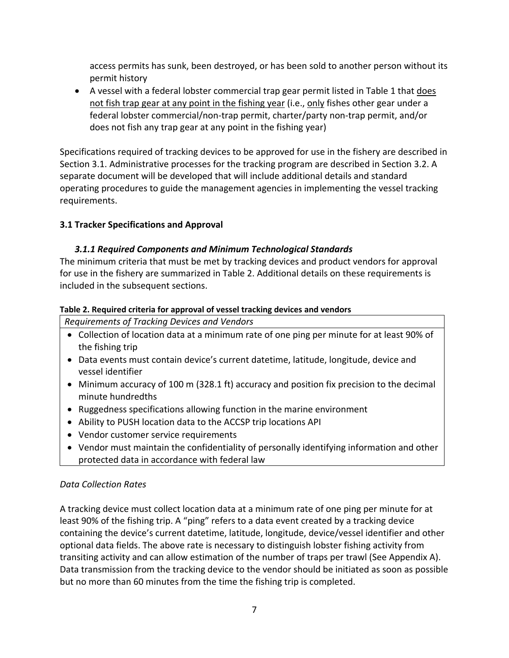access permits has sunk, been destroyed, or has been sold to another person without its permit history

• A vessel with a federal lobster commercial trap gear permit listed in Table 1 that does not fish trap gear at any point in the fishing year (i.e., only fishes other gear under a federal lobster commercial/non-trap permit, charter/party non-trap permit, and/or does not fish any trap gear at any point in the fishing year)

Specifications required of tracking devices to be approved for use in the fishery are described in Section 3.1. Administrative processes for the tracking program are described in Section 3.2. A separate document will be developed that will include additional details and standard operating procedures to guide the management agencies in implementing the vessel tracking requirements.

# <span id="page-8-0"></span>**3.1 Tracker Specifications and Approval**

# *3.1.1 Required Components and Minimum Technological Standards*

<span id="page-8-1"></span>The minimum criteria that must be met by tracking devices and product vendors for approval for use in the fishery are summarized in Table 2. Additional details on these requirements is included in the subsequent sections.

# **Table 2. Required criteria for approval of vessel tracking devices and vendors**

*Requirements of Tracking Devices and Vendors*

- Collection of location data at a minimum rate of one ping per minute for at least 90% of the fishing trip
- Data events must contain device's current datetime, latitude, longitude, device and vessel identifier
- Minimum accuracy of 100 m (328.1 ft) accuracy and position fix precision to the decimal minute hundredths
- Ruggedness specifications allowing function in the marine environment
- Ability to PUSH location data to the ACCSP trip locations API
- Vendor customer service requirements
- Vendor must maintain the confidentiality of personally identifying information and other protected data in accordance with federal law

# *Data Collection Rates*

A tracking device must collect location data at a minimum rate of one ping per minute for at least 90% of the fishing trip. A "ping" refers to a data event created by a tracking device containing the device's current datetime, latitude, longitude, device/vessel identifier and other optional data fields. The above rate is necessary to distinguish lobster fishing activity from transiting activity and can allow estimation of the number of traps per trawl (See Appendix A). Data transmission from the tracking device to the vendor should be initiated as soon as possible but no more than 60 minutes from the time the fishing trip is completed.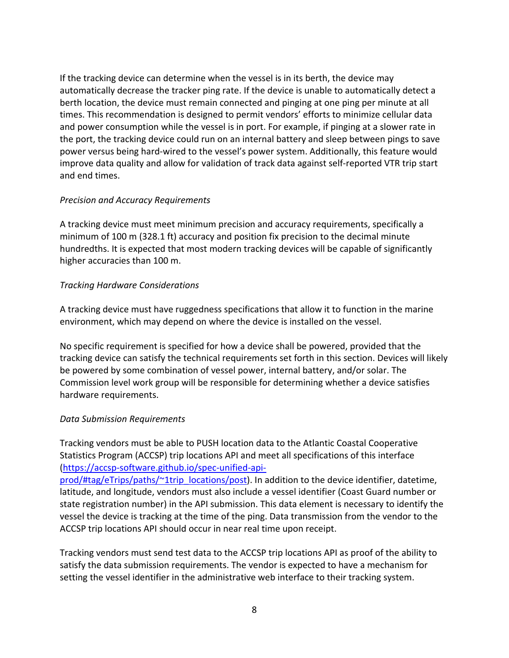If the tracking device can determine when the vessel is in its berth, the device may automatically decrease the tracker ping rate. If the device is unable to automatically detect a berth location, the device must remain connected and pinging at one ping per minute at all times. This recommendation is designed to permit vendors' efforts to minimize cellular data and power consumption while the vessel is in port. For example, if pinging at a slower rate in the port, the tracking device could run on an internal battery and sleep between pings to save power versus being hard-wired to the vessel's power system. Additionally, this feature would improve data quality and allow for validation of track data against self-reported VTR trip start and end times.

#### *Precision and Accuracy Requirements*

A tracking device must meet minimum precision and accuracy requirements, specifically a minimum of 100 m (328.1 ft) accuracy and position fix precision to the decimal minute hundredths. It is expected that most modern tracking devices will be capable of significantly higher accuracies than 100 m.

# *Tracking Hardware Considerations*

A tracking device must have ruggedness specifications that allow it to function in the marine environment, which may depend on where the device is installed on the vessel.

No specific requirement is specified for how a device shall be powered, provided that the tracking device can satisfy the technical requirements set forth in this section. Devices will likely be powered by some combination of vessel power, internal battery, and/or solar. The Commission level work group will be responsible for determining whether a device satisfies hardware requirements.

#### *Data Submission Requirements*

Tracking vendors must be able to PUSH location data to the Atlantic Coastal Cooperative Statistics Program (ACCSP) trip locations API and meet all specifications of this interface [\(https://accsp-software.github.io/spec-unified-api-](https://accsp-software.github.io/spec-unified-api-prod/#tag/eTrips/paths/%7E1trip_locations/post)

[prod/#tag/eTrips/paths/~1trip\\_locations/post\)](https://accsp-software.github.io/spec-unified-api-prod/#tag/eTrips/paths/%7E1trip_locations/post). In addition to the device identifier, datetime, latitude, and longitude, vendors must also include a vessel identifier (Coast Guard number or state registration number) in the API submission. This data element is necessary to identify the vessel the device is tracking at the time of the ping. Data transmission from the vendor to the ACCSP trip locations API should occur in near real time upon receipt.

Tracking vendors must send test data to the ACCSP trip locations API as proof of the ability to satisfy the data submission requirements. The vendor is expected to have a mechanism for setting the vessel identifier in the administrative web interface to their tracking system.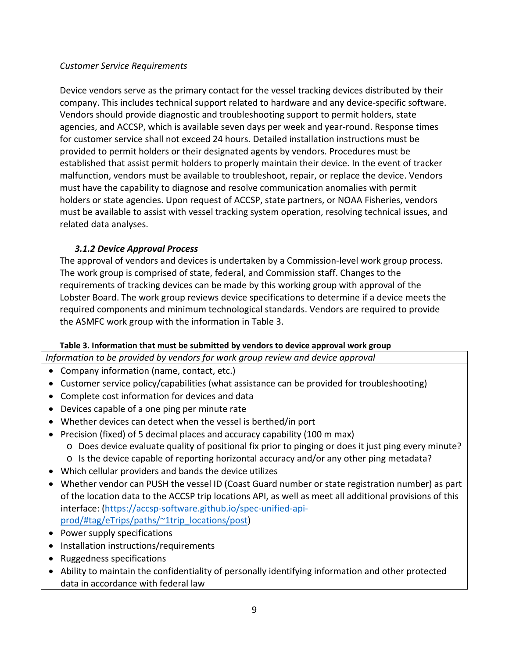# *Customer Service Requirements*

Device vendors serve as the primary contact for the vessel tracking devices distributed by their company. This includes technical support related to hardware and any device-specific software. Vendors should provide diagnostic and troubleshooting support to permit holders, state agencies, and ACCSP, which is available seven days per week and year-round. Response times for customer service shall not exceed 24 hours. Detailed installation instructions must be provided to permit holders or their designated agents by vendors. Procedures must be established that assist permit holders to properly maintain their device. In the event of tracker malfunction, vendors must be available to troubleshoot, repair, or replace the device. Vendors must have the capability to diagnose and resolve communication anomalies with permit holders or state agencies. Upon request of ACCSP, state partners, or NOAA Fisheries, vendors must be available to assist with vessel tracking system operation, resolving technical issues, and related data analyses.

# *3.1.2 Device Approval Process*

<span id="page-10-0"></span>The approval of vendors and devices is undertaken by a Commission-level work group process. The work group is comprised of state, federal, and Commission staff. Changes to the requirements of tracking devices can be made by this working group with approval of the Lobster Board. The work group reviews device specifications to determine if a device meets the required components and minimum technological standards. Vendors are required to provide the ASMFC work group with the information in Table 3.

# **Table 3. Information that must be submitted by vendors to device approval work group**

*Information to be provided by vendors for work group review and device approval*

- Company information (name, contact, etc.)
- Customer service policy/capabilities (what assistance can be provided for troubleshooting)
- Complete cost information for devices and data
- Devices capable of a one ping per minute rate
- Whether devices can detect when the vessel is berthed/in port
- Precision (fixed) of 5 decimal places and accuracy capability (100 m max)
	- o Does device evaluate quality of positional fix prior to pinging or does it just ping every minute?
	- o Is the device capable of reporting horizontal accuracy and/or any other ping metadata?
- Which cellular providers and bands the device utilizes
- Whether vendor can PUSH the vessel ID (Coast Guard number or state registration number) as part of the location data to the ACCSP trip locations API, as well as meet all additional provisions of this interface: [\(https://accsp-software.github.io/spec-unified-api](https://accsp-software.github.io/spec-unified-api-prod/#tag/eTrips/paths/%7E1trip_locations/post)[prod/#tag/eTrips/paths/~1trip\\_locations/post\)](https://accsp-software.github.io/spec-unified-api-prod/#tag/eTrips/paths/%7E1trip_locations/post)
- Power supply specifications
- Installation instructions/requirements
- Ruggedness specifications
- Ability to maintain the confidentiality of personally identifying information and other protected data in accordance with federal law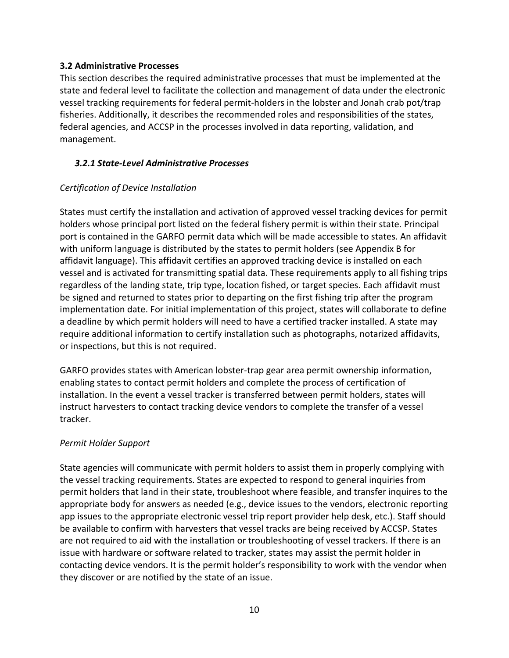#### <span id="page-11-0"></span>**3.2 Administrative Processes**

This section describes the required administrative processes that must be implemented at the state and federal level to facilitate the collection and management of data under the electronic vessel tracking requirements for federal permit-holders in the lobster and Jonah crab pot/trap fisheries. Additionally, it describes the recommended roles and responsibilities of the states, federal agencies, and ACCSP in the processes involved in data reporting, validation, and management.

#### <span id="page-11-1"></span>*3.2.1 State-Level Administrative Processes*

# *Certification of Device Installation*

States must certify the installation and activation of approved vessel tracking devices for permit holders whose principal port listed on the federal fishery permit is within their state. Principal port is contained in the GARFO permit data which will be made accessible to states. An affidavit with uniform language is distributed by the states to permit holders (see Appendix B for affidavit language). This affidavit certifies an approved tracking device is installed on each vessel and is activated for transmitting spatial data. These requirements apply to all fishing trips regardless of the landing state, trip type, location fished, or target species. Each affidavit must be signed and returned to states prior to departing on the first fishing trip after the program implementation date. For initial implementation of this project, states will collaborate to define a deadline by which permit holders will need to have a certified tracker installed. A state may require additional information to certify installation such as photographs, notarized affidavits, or inspections, but this is not required.

GARFO provides states with American lobster-trap gear area permit ownership information, enabling states to contact permit holders and complete the process of certification of installation. In the event a vessel tracker is transferred between permit holders, states will instruct harvesters to contact tracking device vendors to complete the transfer of a vessel tracker.

# *Permit Holder Support*

State agencies will communicate with permit holders to assist them in properly complying with the vessel tracking requirements. States are expected to respond to general inquiries from permit holders that land in their state, troubleshoot where feasible, and transfer inquires to the appropriate body for answers as needed (e.g., device issues to the vendors, electronic reporting app issues to the appropriate electronic vessel trip report provider help desk, etc.). Staff should be available to confirm with harvesters that vessel tracks are being received by ACCSP. States are not required to aid with the installation or troubleshooting of vessel trackers. If there is an issue with hardware or software related to tracker, states may assist the permit holder in contacting device vendors. It is the permit holder's responsibility to work with the vendor when they discover or are notified by the state of an issue.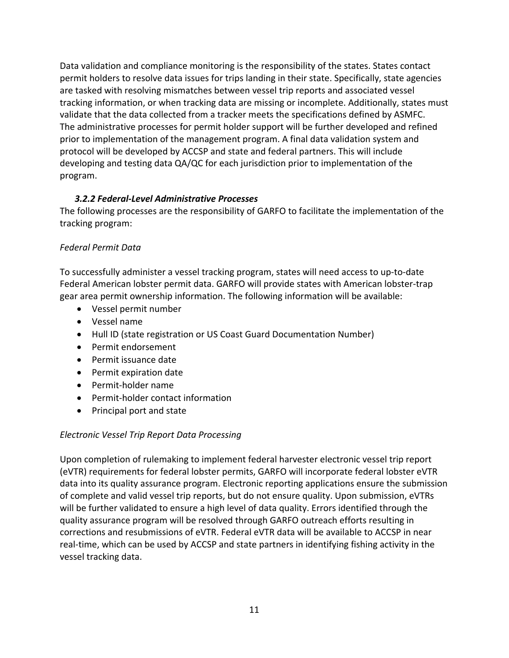Data validation and compliance monitoring is the responsibility of the states. States contact permit holders to resolve data issues for trips landing in their state. Specifically, state agencies are tasked with resolving mismatches between vessel trip reports and associated vessel tracking information, or when tracking data are missing or incomplete. Additionally, states must validate that the data collected from a tracker meets the specifications defined by ASMFC. The administrative processes for permit holder support will be further developed and refined prior to implementation of the management program. A final data validation system and protocol will be developed by ACCSP and state and federal partners. This will include developing and testing data QA/QC for each jurisdiction prior to implementation of the program.

# *3.2.2 Federal-Level Administrative Processes*

<span id="page-12-0"></span>The following processes are the responsibility of GARFO to facilitate the implementation of the tracking program:

# *Federal Permit Data*

To successfully administer a vessel tracking program, states will need access to up-to-date Federal American lobster permit data. GARFO will provide states with American lobster-trap gear area permit ownership information. The following information will be available:

- Vessel permit number
- Vessel name
- Hull ID (state registration or US Coast Guard Documentation Number)
- Permit endorsement
- Permit issuance date
- Permit expiration date
- Permit-holder name
- Permit-holder contact information
- Principal port and state

# *Electronic Vessel Trip Report Data Processing*

Upon completion of rulemaking to implement federal harvester electronic vessel trip report (eVTR) requirements for federal lobster permits, GARFO will incorporate federal lobster eVTR data into its quality assurance program. Electronic reporting applications ensure the submission of complete and valid vessel trip reports, but do not ensure quality. Upon submission, eVTRs will be further validated to ensure a high level of data quality. Errors identified through the quality assurance program will be resolved through GARFO outreach efforts resulting in corrections and resubmissions of eVTR. Federal eVTR data will be available to ACCSP in near real-time, which can be used by ACCSP and state partners in identifying fishing activity in the vessel tracking data.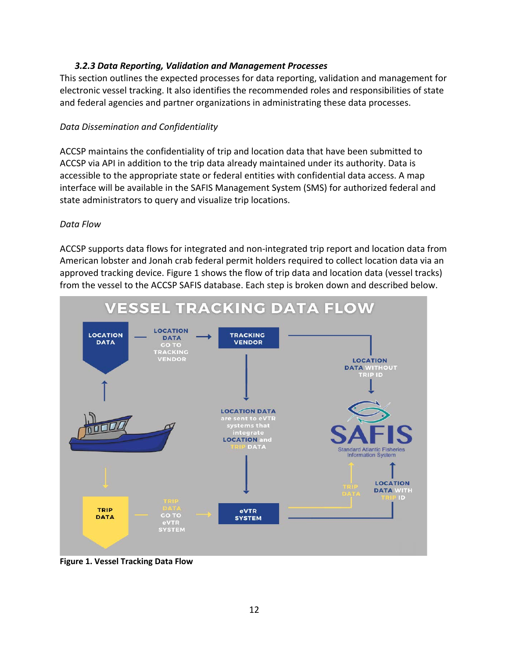#### *3.2.3 Data Reporting, Validation and Management Processes*

<span id="page-13-0"></span>This section outlines the expected processes for data reporting, validation and management for electronic vessel tracking. It also identifies the recommended roles and responsibilities of state and federal agencies and partner organizations in administrating these data processes.

#### *Data Dissemination and Confidentiality*

ACCSP maintains the confidentiality of trip and location data that have been submitted to ACCSP via API in addition to the trip data already maintained under its authority. Data is accessible to the appropriate state or federal entities with confidential data access. A map interface will be available in the SAFIS Management System (SMS) for authorized federal and state administrators to query and visualize trip locations.

#### *Data Flow*

ACCSP supports data flows for integrated and non-integrated trip report and location data from American lobster and Jonah crab federal permit holders required to collect location data via an approved tracking device. Figure 1 shows the flow of trip data and location data (vessel tracks) from the vessel to the ACCSP SAFIS database. Each step is broken down and described below.



**Figure 1. Vessel Tracking Data Flow**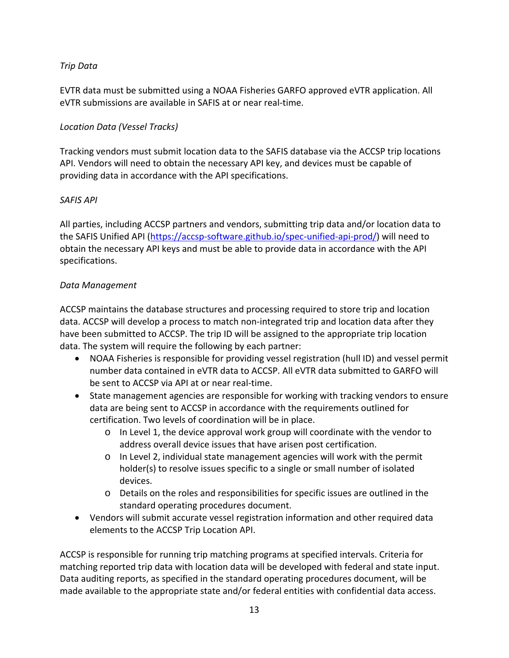# *Trip Data*

EVTR data must be submitted using a NOAA Fisheries GARFO approved eVTR application. All eVTR submissions are available in SAFIS at or near real-time.

### *Location Data (Vessel Tracks)*

Tracking vendors must submit location data to the SAFIS database via the ACCSP trip locations API. Vendors will need to obtain the necessary API key, and devices must be capable of providing data in accordance with the API specifications.

#### *SAFIS API*

All parties, including ACCSP partners and vendors, submitting trip data and/or location data to the SAFIS Unified API [\(https://accsp-software.github.io/spec-unified-api-prod/\)](https://accsp-software.github.io/spec-unified-api-prod/) will need to obtain the necessary API keys and must be able to provide data in accordance with the API specifications.

#### *Data Management*

ACCSP maintains the database structures and processing required to store trip and location data. ACCSP will develop a process to match non-integrated trip and location data after they have been submitted to ACCSP. The trip ID will be assigned to the appropriate trip location data. The system will require the following by each partner:

- NOAA Fisheries is responsible for providing vessel registration (hull ID) and vessel permit number data contained in eVTR data to ACCSP. All eVTR data submitted to GARFO will be sent to ACCSP via API at or near real-time.
- State management agencies are responsible for working with tracking vendors to ensure data are being sent to ACCSP in accordance with the requirements outlined for certification. Two levels of coordination will be in place.
	- $\circ$  In Level 1, the device approval work group will coordinate with the vendor to address overall device issues that have arisen post certification.
	- o In Level 2, individual state management agencies will work with the permit holder(s) to resolve issues specific to a single or small number of isolated devices.
	- o Details on the roles and responsibilities for specific issues are outlined in the standard operating procedures document.
- Vendors will submit accurate vessel registration information and other required data elements to the ACCSP Trip Location API.

ACCSP is responsible for running trip matching programs at specified intervals. Criteria for matching reported trip data with location data will be developed with federal and state input. Data auditing reports, as specified in the standard operating procedures document, will be made available to the appropriate state and/or federal entities with confidential data access.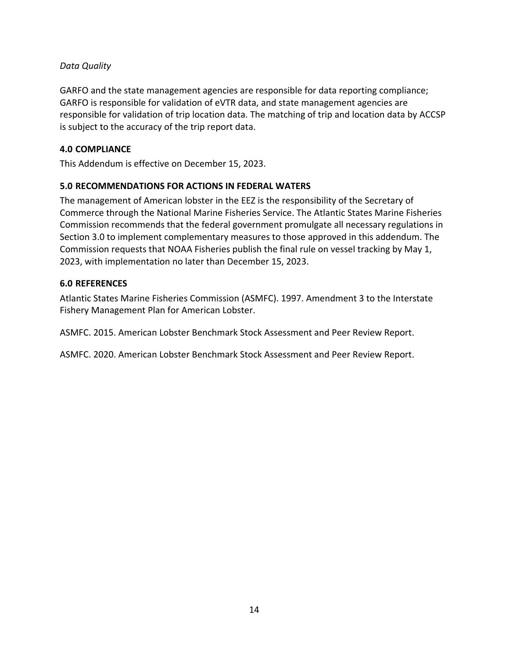# *Data Quality*

GARFO and the state management agencies are responsible for data reporting compliance; GARFO is responsible for validation of eVTR data, and state management agencies are responsible for validation of trip location data. The matching of trip and location data by ACCSP is subject to the accuracy of the trip report data.

# <span id="page-15-0"></span>**4.0 COMPLIANCE**

<span id="page-15-1"></span>This Addendum is effective on December 15, 2023.

# **5.0 RECOMMENDATIONS FOR ACTIONS IN FEDERAL WATERS**

The management of American lobster in the EEZ is the responsibility of the Secretary of Commerce through the National Marine Fisheries Service. The Atlantic States Marine Fisheries Commission recommends that the federal government promulgate all necessary regulations in Section 3.0 to implement complementary measures to those approved in this addendum. The Commission requests that NOAA Fisheries publish the final rule on vessel tracking by May 1, 2023, with implementation no later than December 15, 2023.

# <span id="page-15-2"></span>**6.0 REFERENCES**

Atlantic States Marine Fisheries Commission (ASMFC). 1997. Amendment 3 to the Interstate Fishery Management Plan for American Lobster.

ASMFC. 2015. American Lobster Benchmark Stock Assessment and Peer Review Report.

ASMFC. 2020. American Lobster Benchmark Stock Assessment and Peer Review Report.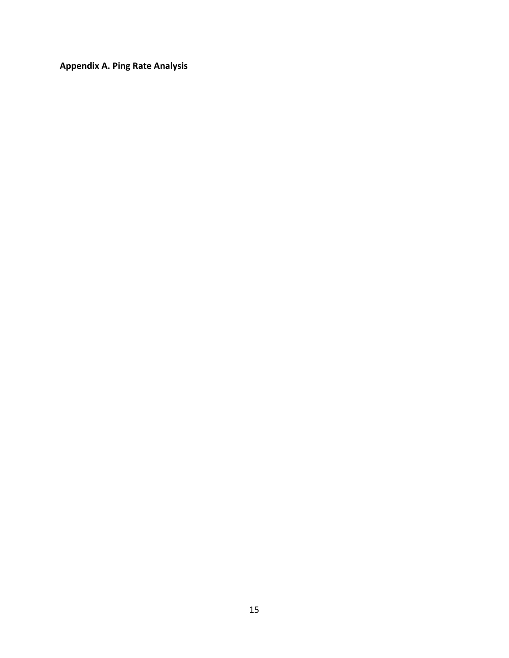<span id="page-16-0"></span>**Appendix A. Ping Rate Analysis**